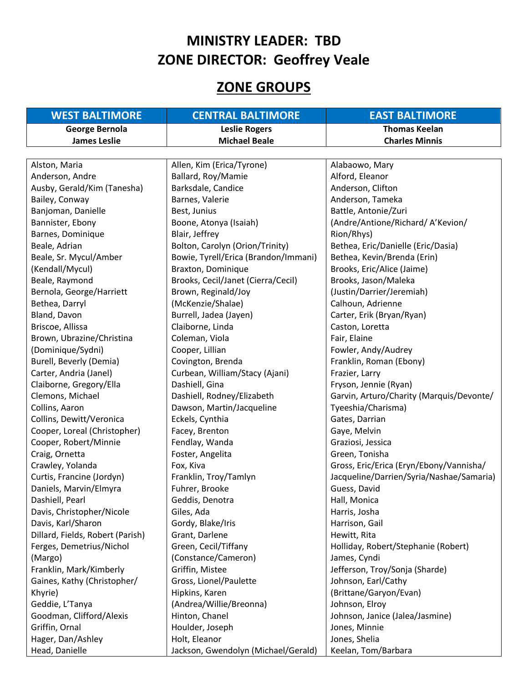## **MINISTRY LEADER: TBD ZONE DIRECTOR: Geoffrey Veale**

## **ZONE GROUPS**

| <b>WEST BALTIMORE</b>            | <b>CENTRAL BALTIMORE</b>             | <b>EAST BALTIMORE</b>                    |
|----------------------------------|--------------------------------------|------------------------------------------|
| <b>George Bernola</b>            | <b>Leslie Rogers</b>                 | <b>Thomas Keelan</b>                     |
| <b>James Leslie</b>              | <b>Michael Beale</b>                 | <b>Charles Minnis</b>                    |
|                                  |                                      |                                          |
| Alston, Maria                    | Allen, Kim (Erica/Tyrone)            | Alabaowo, Mary                           |
| Anderson, Andre                  | Ballard, Roy/Mamie                   | Alford, Eleanor                          |
| Ausby, Gerald/Kim (Tanesha)      | Barksdale, Candice                   | Anderson, Clifton                        |
| Bailey, Conway                   | Barnes, Valerie                      | Anderson, Tameka                         |
| Banjoman, Danielle               | Best, Junius                         | Battle, Antonie/Zuri                     |
| Bannister, Ebony                 | Boone, Atonya (Isaiah)               | (Andre/Antione/Richard/A'Kevion/         |
| Barnes, Dominique                | Blair, Jeffrey                       | Rion/Rhys)                               |
| Beale, Adrian                    | Bolton, Carolyn (Orion/Trinity)      | Bethea, Eric/Danielle (Eric/Dasia)       |
| Beale, Sr. Mycul/Amber           | Bowie, Tyrell/Erica (Brandon/Immani) | Bethea, Kevin/Brenda (Erin)              |
| (Kendall/Mycul)                  | Braxton, Dominique                   | Brooks, Eric/Alice (Jaime)               |
| Beale, Raymond                   | Brooks, Cecil/Janet (Cierra/Cecil)   | Brooks, Jason/Maleka                     |
| Bernola, George/Harriett         | Brown, Reginald/Joy                  | (Justin/Darrier/Jeremiah)                |
| Bethea, Darryl                   | (McKenzie/Shalae)                    | Calhoun, Adrienne                        |
| Bland, Davon                     | Burrell, Jadea (Jayen)               | Carter, Erik (Bryan/Ryan)                |
| Briscoe, Allissa                 | Claiborne, Linda                     | Caston, Loretta                          |
| Brown, Ubrazine/Christina        | Coleman, Viola                       | Fair, Elaine                             |
| (Dominique/Sydni)                | Cooper, Lillian                      | Fowler, Andy/Audrey                      |
| Burell, Beverly (Demia)          | Covington, Brenda                    | Franklin, Roman (Ebony)                  |
| Carter, Andria (Janel)           | Curbean, William/Stacy (Ajani)       | Frazier, Larry                           |
| Claiborne, Gregory/Ella          | Dashiell, Gina                       | Fryson, Jennie (Ryan)                    |
| Clemons, Michael                 | Dashiell, Rodney/Elizabeth           | Garvin, Arturo/Charity (Marquis/Devonte/ |
| Collins, Aaron                   | Dawson, Martin/Jacqueline            | Tyeeshia/Charisma)                       |
| Collins, Dewitt/Veronica         | Eckels, Cynthia                      | Gates, Darrian                           |
| Cooper, Loreal (Christopher)     | Facey, Brenton                       | Gaye, Melvin                             |
| Cooper, Robert/Minnie            | Fendlay, Wanda                       | Graziosi, Jessica                        |
| Craig, Ornetta                   | Foster, Angelita                     | Green, Tonisha                           |
| Crawley, Yolanda                 | Fox, Kiva                            | Gross, Eric/Erica (Eryn/Ebony/Vannisha/  |
| Curtis, Francine (Jordyn)        | Franklin, Troy/Tamlyn                | Jacqueline/Darrien/Syria/Nashae/Samaria) |
| Daniels, Marvin/Elmyra           | Fuhrer, Brooke                       | Guess, David                             |
| Dashiell, Pearl                  | Geddis, Denotra                      | Hall, Monica                             |
| Davis, Christopher/Nicole        | Giles, Ada                           | Harris, Josha                            |
| Davis, Karl/Sharon               | Gordy, Blake/Iris                    | Harrison, Gail                           |
| Dillard, Fields, Robert (Parish) | Grant, Darlene                       | Hewitt, Rita                             |
| Ferges, Demetrius/Nichol         | Green, Cecil/Tiffany                 | Holliday, Robert/Stephanie (Robert)      |
| (Margo)                          | (Constance/Cameron)                  | James, Cyndi                             |
| Franklin, Mark/Kimberly          | Griffin, Mistee                      | Jefferson, Troy/Sonja (Sharde)           |
| Gaines, Kathy (Christopher/      | Gross, Lionel/Paulette               | Johnson, Earl/Cathy                      |
| Khyrie)                          | Hipkins, Karen                       | (Brittane/Garyon/Evan)                   |
| Geddie, L'Tanya                  | (Andrea/Willie/Breonna)              | Johnson, Elroy                           |
| Goodman, Clifford/Alexis         | Hinton, Chanel                       | Johnson, Janice (Jalea/Jasmine)          |
| Griffin, Ornal                   | Houlder, Joseph                      | Jones, Minnie                            |
| Hager, Dan/Ashley                | Holt, Eleanor                        | Jones, Shelia                            |
| Head, Danielle                   | Jackson, Gwendolyn (Michael/Gerald)  | Keelan, Tom/Barbara                      |